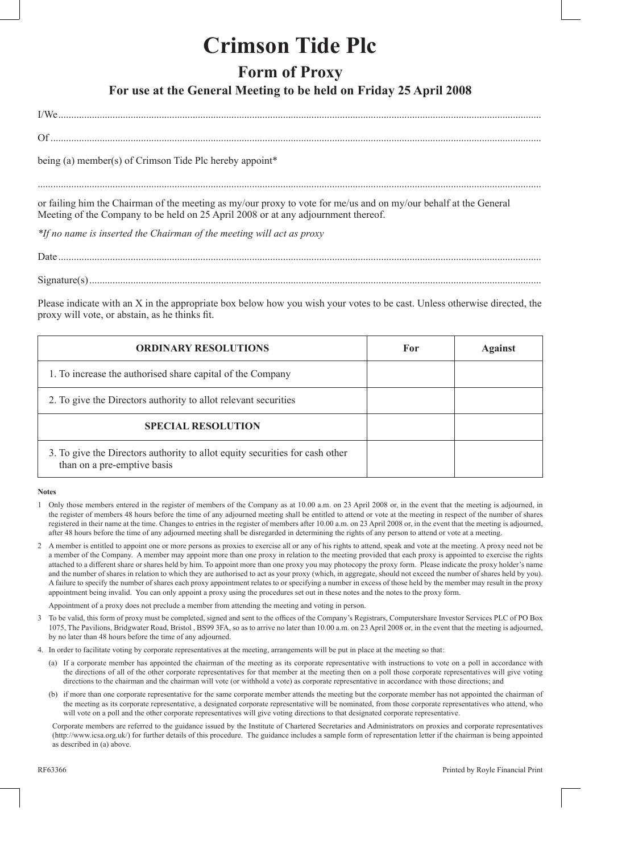## **Crimson Tide Plc**

## **Form of Proxy**

## **For use at the General Meeting to be held on Friday 25 April 2008**

I/We ...........................................................................................................................................................................................

Of ..............................................................................................................................................................................................

being (a) member(s) of Crimson Tide Plc hereby appoint\*

...................................................................................................................................................................................................

or failing him the Chairman of the meeting as my/our proxy to vote for me/us and on my/our behalf at the General Meeting of the Company to be held on 25 April 2008 or at any adjournment thereof.

*\*If no name is inserted the Chairman of the meeting will act as proxy*

Date ...........................................................................................................................................................................................

Signature(s) ...............................................................................................................................................................................

Please indicate with an X in the appropriate box below how you wish your votes to be cast. Unless otherwise directed, the proxy will vote, or abstain, as he thinks fit.

| <b>ORDINARY RESOLUTIONS</b>                                                                                 | For | Against |
|-------------------------------------------------------------------------------------------------------------|-----|---------|
| 1. To increase the authorised share capital of the Company                                                  |     |         |
| 2. To give the Directors authority to allot relevant securities                                             |     |         |
| <b>SPECIAL RESOLUTION</b>                                                                                   |     |         |
| 3. To give the Directors authority to allot equity securities for cash other<br>than on a pre-emptive basis |     |         |

## **Notes**

- 1 Only those members entered in the register of members of the Company as at 10.00 a.m. on 23 April 2008 or, in the event that the meeting is adjourned, in the register of members 48 hours before the time of any adjourned meeting shall be entitled to attend or vote at the meeting in respect of the number of shares registered in their name at the time. Changes to entries in the register of members after 10.00 a.m. on 23 April 2008 or, in the event that the meeting is adjourned, after 48 hours before the time of any adjourned meeting shall be disregarded in determining the rights of any person to attend or vote at a meeting.
- 2 A member is entitled to appoint one or more persons as proxies to exercise all or any of his rights to attend, speak and vote at the meeting. A proxy need not be a member of the Company. A member may appoint more than one proxy in relation to the meeting provided that each proxy is appointed to exercise the rights attached to a different share or shares held by him. To appoint more than one proxy you may photocopy the proxy form. Please indicate the proxy holder's name and the number of shares in relation to which they are authorised to act as your proxy (which, in aggregate, should not exceed the number of shares held by you). A failure to specify the number of shares each proxy appointment relates to or specifying a number in excess of those held by the member may result in the proxy appointment being invalid. You can only appoint a proxy using the procedures set out in these notes and the notes to the proxy form.

Appointment of a proxy does not preclude a member from attending the meeting and voting in person.

- 3 To be valid, this form of proxy must be completed, signed and sent to the offices of the Company's Registrars, Computershare Investor Services PLC of PO Box 1075, The Pavilions, Bridgwater Road, Bristol , BS99 3FA, so as to arrive no later than 10.00 a.m. on 23 April 2008 or, in the event that the meeting is adjourned, by no later than 48 hours before the time of any adjourned.
- 4. In order to facilitate voting by corporate representatives at the meeting, arrangements will be put in place at the meeting so that:
	- (a) If a corporate member has appointed the chairman of the meeting as its corporate representative with instructions to vote on a poll in accordance with the directions of all of the other corporate representatives for that member at the meeting then on a poll those corporate representatives will give voting directions to the chairman and the chairman will vote (or withhold a vote) as corporate representative in accordance with those directions; and
	- (b) if more than one corporate representative for the same corporate member attends the meeting but the corporate member has not appointed the chairman of the meeting as its corporate representative, a designated corporate representative will be nominated, from those corporate representatives who attend, who will vote on a poll and the other corporate representatives will give voting directions to that designated corporate representative.

Corporate members are referred to the guidance issued by the Institute of Chartered Secretaries and Administrators on proxies and corporate representatives (http://www.icsa.org.uk/) for further details of this procedure. The guidance includes a sample form of representation letter if the chairman is being appointed as described in (a) above.